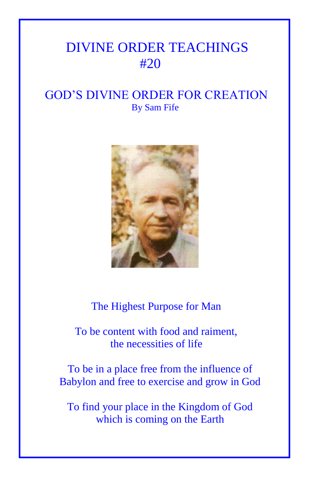## DIVINE ORDER TEACHINGS #20

## GOD'S DIVINE ORDER FOR CREATION By Sam Fife



The Highest Purpose for Man

 To be content with food and raiment, the necessities of life

To be in a place free from the influence of Babylon and free to exercise and grow in God

To find your place in the Kingdom of God which is coming on the Earth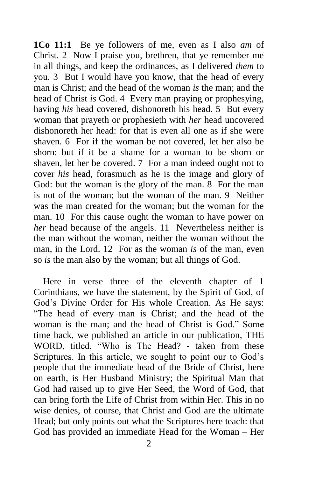**1Co 11:1** Be ye followers of me, even as I also *am* of Christ. 2 Now I praise you, brethren, that ye remember me in all things, and keep the ordinances, as I delivered *them* to you. 3 But I would have you know, that the head of every man is Christ; and the head of the woman *is* the man; and the head of Christ *is* God. 4 Every man praying or prophesying, having *his* head covered, dishonoreth his head. 5 But every woman that prayeth or prophesieth with *her* head uncovered dishonoreth her head: for that is even all one as if she were shaven. 6 For if the woman be not covered, let her also be shorn: but if it be a shame for a woman to be shorn or shaven, let her be covered. 7 For a man indeed ought not to cover *his* head, forasmuch as he is the image and glory of God: but the woman is the glory of the man. 8 For the man is not of the woman; but the woman of the man. 9 Neither was the man created for the woman; but the woman for the man. 10 For this cause ought the woman to have power on *her* head because of the angels. 11 Nevertheless neither is the man without the woman, neither the woman without the man, in the Lord. 12 For as the woman *is* of the man, even so *is* the man also by the woman; but all things of God.

 Here in verse three of the eleventh chapter of 1 Corinthians, we have the statement, by the Spirit of God, of God's Divine Order for His whole Creation. As He says: "The head of every man is Christ; and the head of the woman is the man; and the head of Christ is God." Some time back, we published an article in our publication, THE WORD, titled, "Who is The Head? - taken from these Scriptures. In this article, we sought to point our to God's people that the immediate head of the Bride of Christ, here on earth, is Her Husband Ministry; the Spiritual Man that God had raised up to give Her Seed, the Word of God, that can bring forth the Life of Christ from within Her. This in no wise denies, of course, that Christ and God are the ultimate Head; but only points out what the Scriptures here teach: that God has provided an immediate Head for the Woman – Her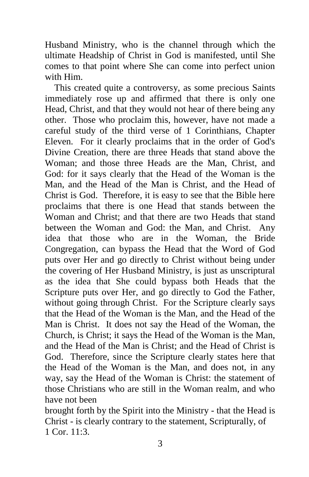Husband Ministry, who is the channel through which the ultimate Headship of Christ in God is manifested, until She comes to that point where She can come into perfect union with Him.

 This created quite a controversy, as some precious Saints immediately rose up and affirmed that there is only one Head, Christ, and that they would not hear of there being any other. Those who proclaim this, however, have not made a careful study of the third verse of 1 Corinthians, Chapter Eleven. For it clearly proclaims that in the order of God's Divine Creation, there are three Heads that stand above the Woman; and those three Heads are the Man, Christ, and God: for it says clearly that the Head of the Woman is the Man, and the Head of the Man is Christ, and the Head of Christ is God. Therefore, it is easy to see that the Bible here proclaims that there is one Head that stands between the Woman and Christ; and that there are two Heads that stand between the Woman and God: the Man, and Christ. Any idea that those who are in the Woman, the Bride Congregation, can bypass the Head that the Word of God puts over Her and go directly to Christ without being under the covering of Her Husband Ministry, is just as unscriptural as the idea that She could bypass both Heads that the Scripture puts over Her, and go directly to God the Father, without going through Christ. For the Scripture clearly says that the Head of the Woman is the Man, and the Head of the Man is Christ. It does not say the Head of the Woman, the Church, is Christ; it says the Head of the Woman is the Man, and the Head of the Man is Christ; and the Head of Christ is God. Therefore, since the Scripture clearly states here that the Head of the Woman is the Man, and does not, in any way, say the Head of the Woman is Christ: the statement of those Christians who are still in the Woman realm, and who have not been

brought forth by the Spirit into the Ministry - that the Head is Christ - is clearly contrary to the statement, Scripturally, of 1 Cor. 11:3.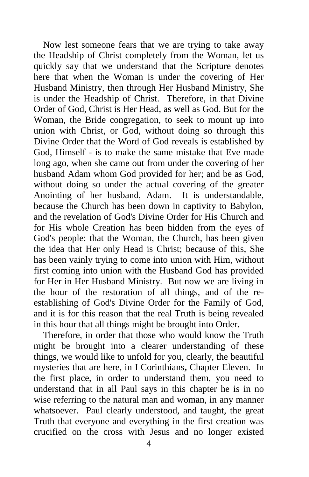Now lest someone fears that we are trying to take away the Headship of Christ completely from the Woman, let us quickly say that we understand that the Scripture denotes here that when the Woman is under the covering of Her Husband Ministry, then through Her Husband Ministry, She is under the Headship of Christ. Therefore, in that Divine Order of God, Christ is Her Head, as well as God. But for the Woman, the Bride congregation, to seek to mount up into union with Christ, or God, without doing so through this Divine Order that the Word of God reveals is established by God, Himself - is to make the same mistake that Eve made long ago, when she came out from under the covering of her husband Adam whom God provided for her; and be as God, without doing so under the actual covering of the greater Anointing of her husband, Adam. It is understandable, because the Church has been down in captivity to Babylon, and the revelation of God's Divine Order for His Church and for His whole Creation has been hidden from the eyes of God's people; that the Woman, the Church, has been given the idea that Her only Head is Christ; because of this, She has been vainly trying to come into union with Him, without first coming into union with the Husband God has provided for Her in Her Husband Ministry. But now we are living in the hour of the restoration of all things, and of the reestablishing of God's Divine Order for the Family of God, and it is for this reason that the real Truth is being revealed in this hour that all things might be brought into Order.

 Therefore, in order that those who would know the Truth might be brought into a clearer understanding of these things, we would like to unfold for you, clearly, the beautiful mysteries that are here, in I Corinthians**,** Chapter Eleven. In the first place, in order to understand them, you need to understand that in all Paul says in this chapter he is in no wise referring to the natural man and woman, in any manner whatsoever. Paul clearly understood, and taught, the great Truth that everyone and everything in the first creation was crucified on the cross with Jesus and no longer existed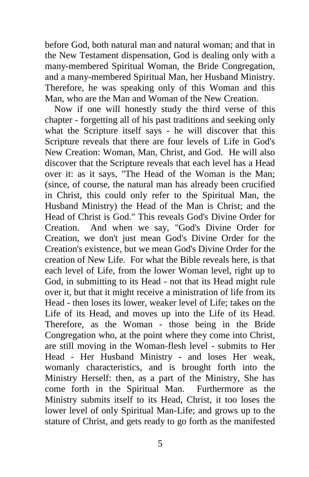before God, both natural man and natural woman; and that in the New Testament dispensation, God is dealing only with a many-membered Spiritual Woman, the Bride Congregation, and a many-membered Spiritual Man, her Husband Ministry. Therefore, he was speaking only of this Woman and this Man, who are the Man and Woman of the New Creation.

 Now if one will honestly study the third verse of this chapter - forgetting all of his past traditions and seeking only what the Scripture itself says - he will discover that this Scripture reveals that there are four levels of Life in God's New Creation: Woman, Man, Christ, and God. He will also discover that the Scripture reveals that each level has a Head over it: as it says, "The Head of the Woman is the Man; (since, of course, the natural man has already been crucified in Christ, this could only refer to the Spiritual Man, the Husband Ministry) the Head of the Man is Christ; and the Head of Christ is God." This reveals God's Divine Order for Creation. And when we say, "God's Divine Order for Creation, we don't just mean God's Divine Order for the Creation's existence, but we mean God's Divine Order for the creation of New Life. For what the Bible reveals here, is that each level of Life, from the lower Woman level, right up to God, in submitting to its Head - not that its Head might rule over it, but that it might receive a ministration of life from its Head - then loses its lower, weaker level of Life; takes on the Life of its Head, and moves up into the Life of its Head. Therefore, as the Woman - those being in the Bride Congregation who, at the point where they come into Christ, are still moving in the Woman-flesh level - submits to Her Head - Her Husband Ministry - and loses Her weak, womanly characteristics, and is brought forth into the Ministry Herself: then, as a part of the Ministry, She has come forth in the Spiritual Man. Furthermore as the Ministry submits itself to its Head, Christ, it too loses the lower level of only Spiritual Man-Life; and grows up to the stature of Christ, and gets ready to go forth as the manifested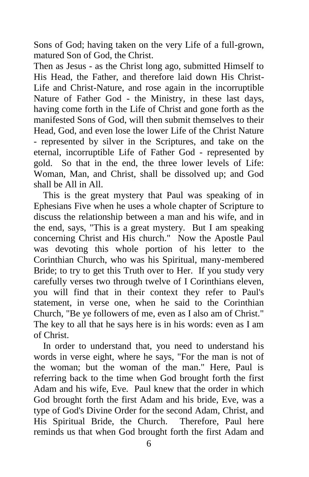Sons of God; having taken on the very Life of a full-grown, matured Son of God, the Christ.

Then as Jesus - as the Christ long ago, submitted Himself to His Head, the Father, and therefore laid down His Christ-Life and Christ-Nature, and rose again in the incorruptible Nature of Father God - the Ministry, in these last days, having come forth in the Life of Christ and gone forth as the manifested Sons of God, will then submit themselves to their Head, God, and even lose the lower Life of the Christ Nature - represented by silver in the Scriptures, and take on the eternal, incorruptible Life of Father God - represented by gold. So that in the end, the three lower levels of Life: Woman, Man, and Christ, shall be dissolved up; and God shall be All in All.

 This is the great mystery that Paul was speaking of in Ephesians Five when he uses a whole chapter of Scripture to discuss the relationship between a man and his wife, and in the end, says, "This is a great mystery. But I am speaking concerning Christ and His church." Now the Apostle Paul was devoting this whole portion of his letter to the Corinthian Church, who was his Spiritual, many-membered Bride; to try to get this Truth over to Her. If you study very carefully verses two through twelve of I Corinthians eleven, you will find that in their context they refer to Paul's statement, in verse one, when he said to the Corinthian Church, "Be ye followers of me, even as I also am of Christ." The key to all that he says here is in his words: even as I am of Christ.

 In order to understand that, you need to understand his words in verse eight, where he says, "For the man is not of the woman; but the woman of the man." Here, Paul is referring back to the time when God brought forth the first Adam and his wife, Eve. Paul knew that the order in which God brought forth the first Adam and his bride, Eve, was a type of God's Divine Order for the second Adam, Christ, and His Spiritual Bride, the Church. Therefore, Paul here reminds us that when God brought forth the first Adam and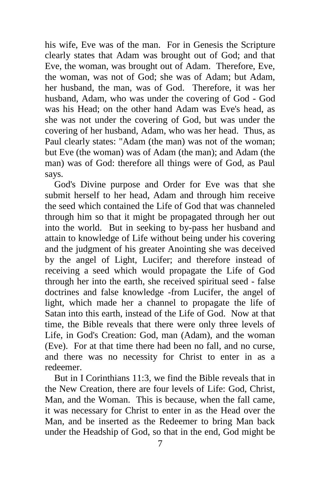his wife, Eve was of the man. For in Genesis the Scripture clearly states that Adam was brought out of God; and that Eve, the woman, was brought out of Adam. Therefore, Eve, the woman, was not of God; she was of Adam; but Adam, her husband, the man, was of God. Therefore, it was her husband, Adam, who was under the covering of God - God was his Head; on the other hand Adam was Eve's head, as she was not under the covering of God, but was under the covering of her husband, Adam, who was her head. Thus, as Paul clearly states: "Adam (the man) was not of the woman; but Eve (the woman) was of Adam (the man); and Adam (the man) was of God: therefore all things were of God, as Paul says.

 God's Divine purpose and Order for Eve was that she submit herself to her head, Adam and through him receive the seed which contained the Life of God that was channeled through him so that it might be propagated through her out into the world. But in seeking to by-pass her husband and attain to knowledge of Life without being under his covering and the judgment of his greater Anointing she was deceived by the angel of Light, Lucifer; and therefore instead of receiving a seed which would propagate the Life of God through her into the earth, she received spiritual seed - false doctrines and false knowledge -from Lucifer, the angel of light, which made her a channel to propagate the life of Satan into this earth, instead of the Life of God. Now at that time, the Bible reveals that there were only three levels of Life, in God's Creation: God, man (Adam), and the woman (Eve). For at that time there had been no fall, and no curse, and there was no necessity for Christ to enter in as a redeemer.

 But in I Corinthians 11:3, we find the Bible reveals that in the New Creation, there are four levels of Life: God, Christ, Man, and the Woman. This is because, when the fall came, it was necessary for Christ to enter in as the Head over the Man, and be inserted as the Redeemer to bring Man back under the Headship of God, so that in the end, God might be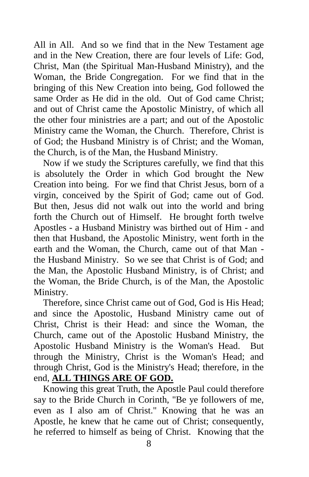All in All. And so we find that in the New Testament age and in the New Creation, there are four levels of Life: God, Christ, Man (the Spiritual Man-Husband Ministry), and the Woman, the Bride Congregation. For we find that in the bringing of this New Creation into being, God followed the same Order as He did in the old. Out of God came Christ; and out of Christ came the Apostolic Ministry, of which all the other four ministries are a part; and out of the Apostolic Ministry came the Woman, the Church. Therefore, Christ is of God; the Husband Ministry is of Christ; and the Woman, the Church, is of the Man, the Husband Ministry.

 Now if we study the Scriptures carefully, we find that this is absolutely the Order in which God brought the New Creation into being. For we find that Christ Jesus, born of a virgin, conceived by the Spirit of God; came out of God. But then, Jesus did not walk out into the world and bring forth the Church out of Himself. He brought forth twelve Apostles - a Husband Ministry was birthed out of Him - and then that Husband, the Apostolic Ministry, went forth in the earth and the Woman, the Church, came out of that Man the Husband Ministry. So we see that Christ is of God; and the Man, the Apostolic Husband Ministry, is of Christ; and the Woman, the Bride Church, is of the Man, the Apostolic Ministry.

 Therefore, since Christ came out of God, God is His Head; and since the Apostolic, Husband Ministry came out of Christ, Christ is their Head: and since the Woman, the Church, came out of the Apostolic Husband Ministry, the Apostolic Husband Ministry is the Woman's Head. But through the Ministry, Christ is the Woman's Head; and through Christ, God is the Ministry's Head; therefore, in the end, **ALL THINGS ARE OF GOD.**

 Knowing this great Truth, the Apostle Paul could therefore say to the Bride Church in Corinth, "Be ye followers of me, even as I also am of Christ." Knowing that he was an Apostle, he knew that he came out of Christ; consequently, he referred to himself as being of Christ. Knowing that the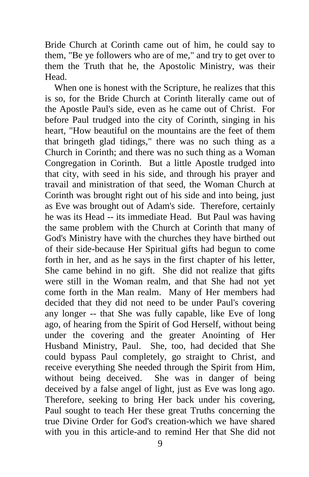Bride Church at Corinth came out of him, he could say to them, "Be ye followers who are of me," and try to get over to them the Truth that he, the Apostolic Ministry, was their Head.

 When one is honest with the Scripture, he realizes that this is so, for the Bride Church at Corinth literally came out of the Apostle Paul's side, even as he came out of Christ. For before Paul trudged into the city of Corinth, singing in his heart, "How beautiful on the mountains are the feet of them that bringeth glad tidings," there was no such thing as a Church in Corinth; and there was no such thing as a Woman Congregation in Corinth. But a little Apostle trudged into that city, with seed in his side, and through his prayer and travail and ministration of that seed, the Woman Church at Corinth was brought right out of his side and into being, just as Eve was brought out of Adam's side. Therefore, certainly he was its Head -- its immediate Head. But Paul was having the same problem with the Church at Corinth that many of God's Ministry have with the churches they have birthed out of their side-because Her Spiritual gifts had begun to come forth in her, and as he says in the first chapter of his letter, She came behind in no gift. She did not realize that gifts were still in the Woman realm, and that She had not yet come forth in the Man realm. Many of Her members had decided that they did not need to be under Paul's covering any longer -- that She was fully capable, like Eve of long ago, of hearing from the Spirit of God Herself, without being under the covering and the greater Anointing of Her Husband Ministry, Paul. She, too, had decided that She could bypass Paul completely, go straight to Christ, and receive everything She needed through the Spirit from Him, without being deceived. She was in danger of being deceived by a false angel of light, just as Eve was long ago. Therefore, seeking to bring Her back under his covering, Paul sought to teach Her these great Truths concerning the true Divine Order for God's creation-which we have shared with you in this article-and to remind Her that She did not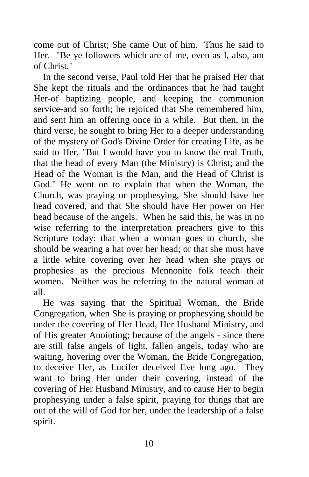come out of Christ; She came Out of him. Thus he said to Her. "Be ye followers which are of me, even as I, also, am of Christ."

 In the second verse, Paul told Her that he praised Her that She kept the rituals and the ordinances that he had taught Her-of baptizing people, and keeping the communion service-and so forth; he rejoiced that She remembered him, and sent him an offering once in a while. But then, in the third verse, he sought to bring Her to a deeper understanding of the mystery of God's Divine Order for creating Life, as he said to Her, "But I would have you to know the real Truth, that the head of every Man (the Ministry) is Christ; and the Head of the Woman is the Man, and the Head of Christ is God." He went on to explain that when the Woman, the Church, was praying or prophesying, She should have her head covered, and that She should have Her power on Her head because of the angels. When he said this, he was in no wise referring to the interpretation preachers give to this Scripture today: that when a woman goes to church, she should be wearing a hat over her head; or that she must have a little white covering over her head when she prays or prophesies as the precious Mennonite folk teach their women. Neither was he referring to the natural woman at all.

 He was saying that the Spiritual Woman, the Bride Congregation, when She is praying or prophesying should be under the covering of Her Head, Her Husband Ministry, and of His greater Anointing; because of the angels - since there are still false angels of light, fallen angels, today who are waiting, hovering over the Woman, the Bride Congregation, to deceive Her, as Lucifer deceived Eve long ago. They want to bring Her under their covering, instead of the covering of Her Husband Ministry, and to cause Her to begin prophesying under a false spirit, praying for things that are out of the will of God for her, under the leadership of a false spirit.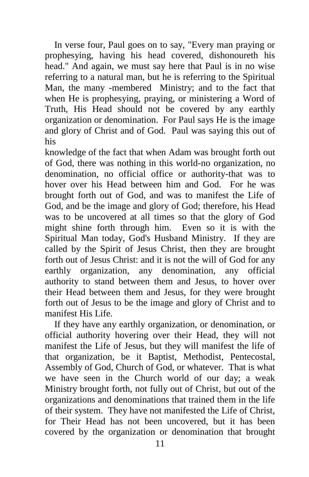In verse four, Paul goes on to say, "Every man praying or prophesying, having his head covered, dishonoureth his head." And again, we must say here that Paul is in no wise referring to a natural man, but he is referring to the Spiritual Man, the many -membered Ministry; and to the fact that when He is prophesying, praying, or ministering a Word of Truth, His Head should not be covered by any earthly organization or denomination. For Paul says He is the image and glory of Christ and of God. Paul was saying this out of his

knowledge of the fact that when Adam was brought forth out of God, there was nothing in this world-no organization, no denomination, no official office or authority-that was to hover over his Head between him and God. For he was brought forth out of God, and was to manifest the Life of God, and be the image and glory of God; therefore, his Head was to be uncovered at all times so that the glory of God might shine forth through him. Even so it is with the Spiritual Man today, God's Husband Ministry. If they are called by the Spirit of Jesus Christ, then they are brought forth out of Jesus Christ: and it is not the will of God for any earthly organization, any denomination, any official authority to stand between them and Jesus, to hover over their Head between them and Jesus, for they were brought forth out of Jesus to be the image and glory of Christ and to manifest His Life.

 If they have any earthly organization, or denomination, or official authority hovering over their Head, they will not manifest the Life of Jesus, but they will manifest the life of that organization, be it Baptist, Methodist, Pentecostal, Assembly of God, Church of God, or whatever. That is what we have seen in the Church world of our day; a weak Ministry brought forth, not fully out of Christ, but out of the organizations and denominations that trained them in the life of their system. They have not manifested the Life of Christ, for Their Head has not been uncovered, but it has been covered by the organization or denomination that brought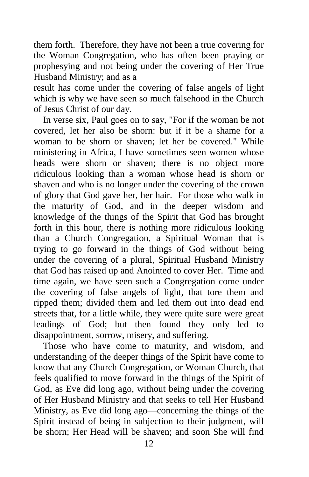them forth. Therefore, they have not been a true covering for the Woman Congregation, who has often been praying or prophesying and not being under the covering of Her True Husband Ministry; and as a

result has come under the covering of false angels of light which is why we have seen so much falsehood in the Church of Jesus Christ of our day.

 In verse six, Paul goes on to say, "For if the woman be not covered, let her also be shorn: but if it be a shame for a woman to be shorn or shaven; let her be covered." While ministering in Africa, I have sometimes seen women whose heads were shorn or shaven; there is no object more ridiculous looking than a woman whose head is shorn or shaven and who is no longer under the covering of the crown of glory that God gave her, her hair. For those who walk in the maturity of God, and in the deeper wisdom and knowledge of the things of the Spirit that God has brought forth in this hour, there is nothing more ridiculous looking than a Church Congregation, a Spiritual Woman that is trying to go forward in the things of God without being under the covering of a plural, Spiritual Husband Ministry that God has raised up and Anointed to cover Her. Time and time again, we have seen such a Congregation come under the covering of false angels of light, that tore them and ripped them; divided them and led them out into dead end streets that, for a little while, they were quite sure were great leadings of God; but then found they only led to disappointment, sorrow, misery, and suffering.

 Those who have come to maturity, and wisdom, and understanding of the deeper things of the Spirit have come to know that any Church Congregation, or Woman Church, that feels qualified to move forward in the things of the Spirit of God, as Eve did long ago, without being under the covering of Her Husband Ministry and that seeks to tell Her Husband Ministry, as Eve did long ago—concerning the things of the Spirit instead of being in subjection to their judgment, will be shorn; Her Head will be shaven; and soon She will find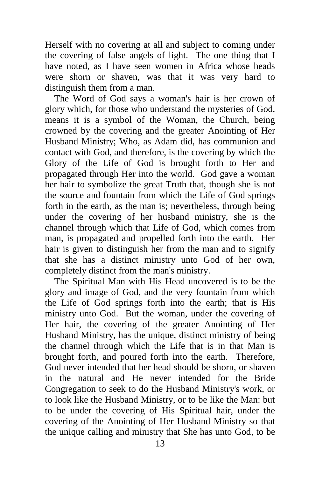Herself with no covering at all and subject to coming under the covering of false angels of light. The one thing that I have noted, as I have seen women in Africa whose heads were shorn or shaven, was that it was very hard to distinguish them from a man.

 The Word of God says a woman's hair is her crown of glory which, for those who understand the mysteries of God, means it is a symbol of the Woman, the Church, being crowned by the covering and the greater Anointing of Her Husband Ministry; Who, as Adam did, has communion and contact with God, and therefore, is the covering by which the Glory of the Life of God is brought forth to Her and propagated through Her into the world. God gave a woman her hair to symbolize the great Truth that, though she is not the source and fountain from which the Life of God springs forth in the earth, as the man is; nevertheless, through being under the covering of her husband ministry, she is the channel through which that Life of God, which comes from man, is propagated and propelled forth into the earth. Her hair is given to distinguish her from the man and to signify that she has a distinct ministry unto God of her own, completely distinct from the man's ministry.

 The Spiritual Man with His Head uncovered is to be the glory and image of God, and the very fountain from which the Life of God springs forth into the earth; that is His ministry unto God. But the woman, under the covering of Her hair, the covering of the greater Anointing of Her Husband Ministry, has the unique, distinct ministry of being the channel through which the Life that is in that Man is brought forth, and poured forth into the earth. Therefore, God never intended that her head should be shorn, or shaven in the natural and He never intended for the Bride Congregation to seek to do the Husband Ministry's work, or to look like the Husband Ministry, or to be like the Man: but to be under the covering of His Spiritual hair, under the covering of the Anointing of Her Husband Ministry so that the unique calling and ministry that She has unto God, to be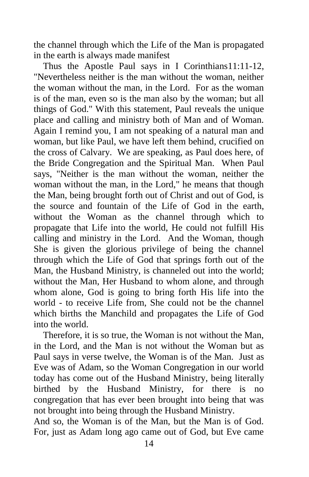the channel through which the Life of the Man is propagated in the earth is always made manifest

 Thus the Apostle Paul says in I Corinthians11:11-12, "Nevertheless neither is the man without the woman, neither the woman without the man, in the Lord. For as the woman is of the man, even so is the man also by the woman; but all things of God." With this statement, Paul reveals the unique place and calling and ministry both of Man and of Woman. Again I remind you, I am not speaking of a natural man and woman, but like Paul, we have left them behind, crucified on the cross of Calvary. We are speaking, as Paul does here, of the Bride Congregation and the Spiritual Man. When Paul says, "Neither is the man without the woman, neither the woman without the man, in the Lord," he means that though the Man, being brought forth out of Christ and out of God, is the source and fountain of the Life of God in the earth, without the Woman as the channel through which to propagate that Life into the world, He could not fulfill His calling and ministry in the Lord. And the Woman, though She is given the glorious privilege of being the channel through which the Life of God that springs forth out of the Man, the Husband Ministry, is channeled out into the world; without the Man, Her Husband to whom alone, and through whom alone, God is going to bring forth His life into the world - to receive Life from, She could not be the channel which births the Manchild and propagates the Life of God into the world.

 Therefore, it is so true, the Woman is not without the Man, in the Lord, and the Man is not without the Woman but as Paul says in verse twelve, the Woman is of the Man. Just as Eve was of Adam, so the Woman Congregation in our world today has come out of the Husband Ministry, being literally birthed by the Husband Ministry, for there is no congregation that has ever been brought into being that was not brought into being through the Husband Ministry.

And so, the Woman is of the Man, but the Man is of God. For, just as Adam long ago came out of God, but Eve came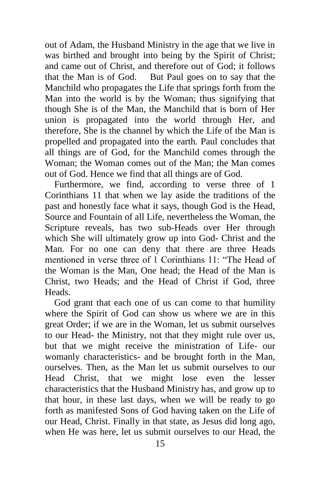out of Adam, the Husband Ministry in the age that we live in was birthed and brought into being by the Spirit of Christ; and came out of Christ, and therefore out of God; it follows that the Man is of God. But Paul goes on to say that the Manchild who propagates the Life that springs forth from the Man into the world is by the Woman; thus signifying that though She is of the Man, the Manchild that is born of Her union is propagated into the world through Her, and therefore, She is the channel by which the Life of the Man is propelled and propagated into the earth. Paul concludes that all things are of God, for the Manchild comes through the Woman; the Woman comes out of the Man; the Man comes out of God. Hence we find that all things are of God.

 Furthermore, we find, according to verse three of 1 Corinthians 11 that when we lay aside the traditions of the past and honestly face what it says, though God is the Head, Source and Fountain of all Life, nevertheless the Woman, the Scripture reveals, has two sub-Heads over Her through which She will ultimately grow up into God- Christ and the Man. For no one can deny that there are three Heads mentioned in verse three of 1 Corinthians 11: "The Head of the Woman is the Man, One head; the Head of the Man is Christ, two Heads; and the Head of Christ if God, three Heads.

 God grant that each one of us can come to that humility where the Spirit of God can show us where we are in this great Order; if we are in the Woman, let us submit ourselves to our Head- the Ministry, not that they might rule over us, but that we might receive the ministration of Life- our womanly characteristics- and be brought forth in the Man, ourselves. Then, as the Man let us submit ourselves to our Head Christ, that we might lose even the lesser characteristics that the Husband Ministry has, and grow up to that hour, in these last days, when we will be ready to go forth as manifested Sons of God having taken on the Life of our Head, Christ. Finally in that state, as Jesus did long ago, when He was here, let us submit ourselves to our Head, the